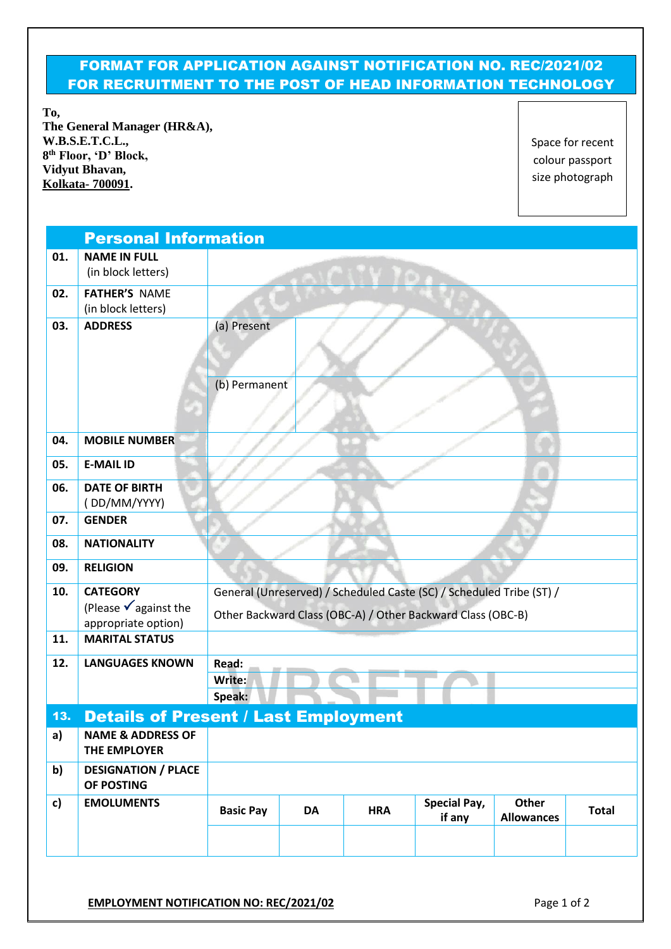## FORMAT FOR APPLICATION AGAINST NOTIFICATION NO. REC/2021/02 FOR RECRUITMENT TO THE POST OF HEAD INFORMATION TECHNOLOGY

**To, The General Manager (HR&A), W.B.S.E.T.C.L., 8 th Floor, 'D' Block, Vidyut Bhavan, Kolkata- 700091.**

Space for recent colour passport size photograph

|              | <b>Personal Information</b>                           |                                                                      |    |            |                               |                            |              |  |  |
|--------------|-------------------------------------------------------|----------------------------------------------------------------------|----|------------|-------------------------------|----------------------------|--------------|--|--|
| 01.          | <b>NAME IN FULL</b><br>(in block letters)             |                                                                      |    |            |                               |                            |              |  |  |
|              |                                                       |                                                                      |    |            |                               |                            |              |  |  |
| 02.          | <b>FATHER'S NAME</b><br>(in block letters)            |                                                                      |    |            |                               |                            |              |  |  |
| 03.          | <b>ADDRESS</b>                                        | (a) Present                                                          |    |            |                               |                            |              |  |  |
|              |                                                       |                                                                      |    |            |                               |                            |              |  |  |
|              |                                                       | (b) Permanent                                                        |    |            |                               |                            |              |  |  |
| 04.          | <b>MOBILE NUMBER</b>                                  |                                                                      |    |            |                               |                            |              |  |  |
| 05.          | <b>E-MAIL ID</b>                                      |                                                                      |    |            |                               |                            |              |  |  |
| 06.          | <b>DATE OF BIRTH</b>                                  |                                                                      |    |            |                               |                            |              |  |  |
|              | (DD/MM/YYYY)                                          |                                                                      |    |            |                               |                            |              |  |  |
| 07.          | <b>GENDER</b>                                         |                                                                      |    |            |                               |                            |              |  |  |
| 08.          | <b>NATIONALITY</b>                                    |                                                                      |    |            |                               |                            |              |  |  |
| 09.          | <b>RELIGION</b>                                       |                                                                      |    |            |                               |                            |              |  |  |
| 10.          | <b>CATEGORY</b>                                       | General (Unreserved) / Scheduled Caste (SC) / Scheduled Tribe (ST) / |    |            |                               |                            |              |  |  |
|              | (Please $\sqrt{ }$ against the<br>appropriate option) | Other Backward Class (OBC-A) / Other Backward Class (OBC-B)          |    |            |                               |                            |              |  |  |
| 11.          | <b>MARITAL STATUS</b>                                 |                                                                      |    |            |                               |                            |              |  |  |
| 12.          | <b>LANGUAGES KNOWN</b>                                | Read:                                                                |    |            |                               |                            |              |  |  |
|              |                                                       | Write:                                                               |    |            |                               |                            |              |  |  |
|              |                                                       | Speak:                                                               |    |            |                               |                            |              |  |  |
| 13.          | <b>Details of Present / Last Employment</b>           |                                                                      |    |            |                               |                            |              |  |  |
| a)           | <b>NAME &amp; ADDRESS OF</b><br>THE EMPLOYER          |                                                                      |    |            |                               |                            |              |  |  |
| b)           | <b>DESIGNATION / PLACE</b><br>OF POSTING              |                                                                      |    |            |                               |                            |              |  |  |
| $\mathsf{c}$ | <b>EMOLUMENTS</b>                                     | <b>Basic Pay</b>                                                     | DA | <b>HRA</b> | <b>Special Pay,</b><br>if any | Other<br><b>Allowances</b> | <b>Total</b> |  |  |
|              |                                                       |                                                                      |    |            |                               |                            |              |  |  |